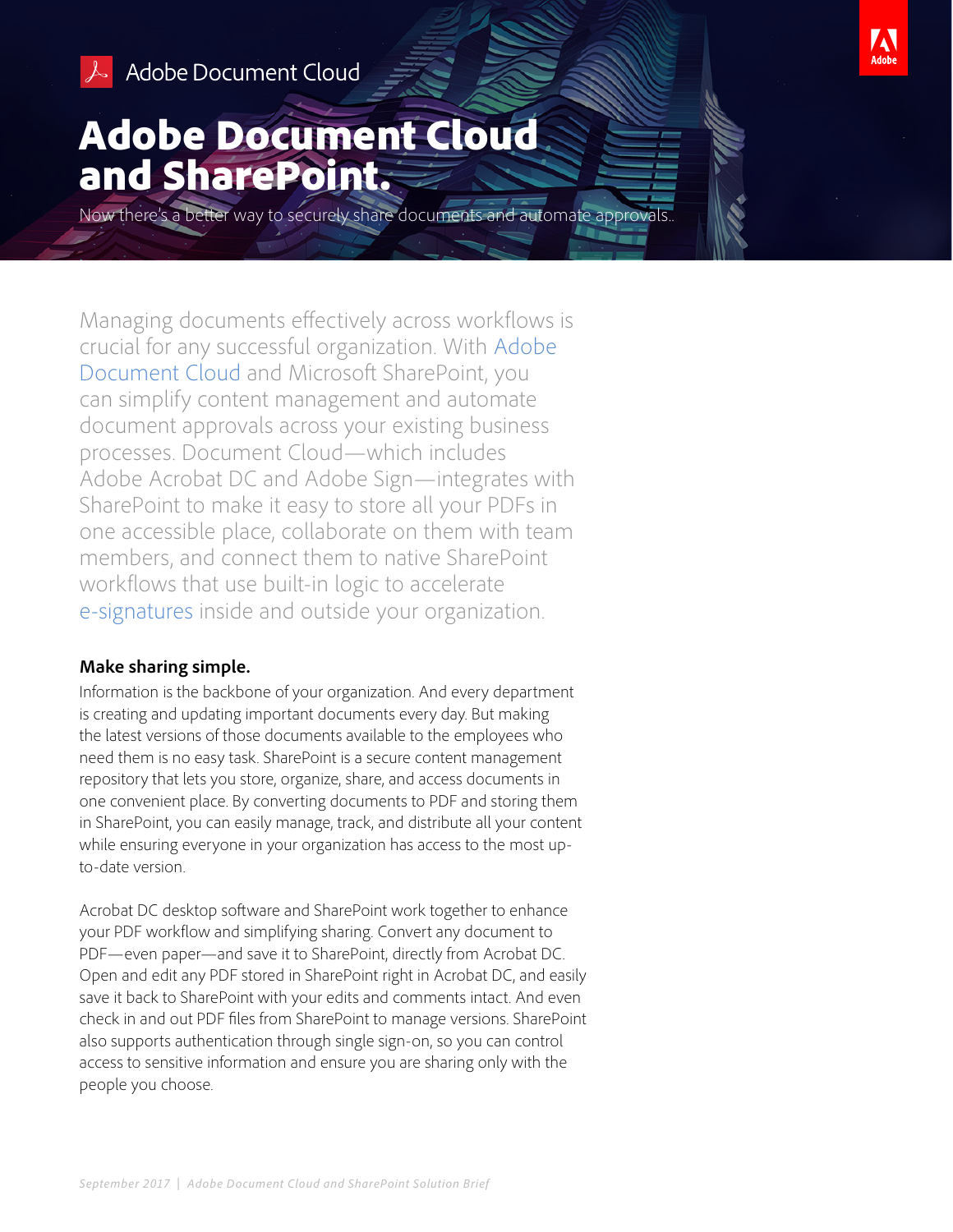

# Adobe Document Cloud and SharePoint.

Now there's a better way to securely share documents and automate approvals..

Managing documents effectively across workflows is crucial for any successful organization. With [Adobe](https://acrobat.adobe.com/us/en/)  [Document Cloud](https://acrobat.adobe.com/us/en/) and Microsoft SharePoint, you can simplify content management and automate document approvals across your existing business processes. Document Cloud—which includes Adobe Acrobat DC and Adobe Sign—integrates with SharePoint to make it easy to store all your PDFs in one accessible place, collaborate on them with team members, and connect them to native SharePoint workflows that use built-in logic to accelerate [e-signatures](https://acrobat.adobe.com/us/en/sign/capabilities/electronic-signatures.html) inside and outside your organization.

#### **Make sharing simple.**

Information is the backbone of your organization. And every department is creating and updating important documents every day. But making the latest versions of those documents available to the employees who need them is no easy task. SharePoint is a secure content management repository that lets you store, organize, share, and access documents in one convenient place. By converting documents to PDF and storing them in SharePoint, you can easily manage, track, and distribute all your content while ensuring everyone in your organization has access to the most upto-date version.

Acrobat DC desktop software and SharePoint work together to enhance your PDF workflow and simplifying sharing. Convert any document to PDF—even paper—and save it to SharePoint, directly from Acrobat DC. Open and edit any PDF stored in SharePoint right in Acrobat DC, and easily save it back to SharePoint with your edits and comments intact. And even check in and out PDF files from SharePoint to manage versions. SharePoint also supports authentication through single sign-on, so you can control access to sensitive information and ensure you are sharing only with the people you choose.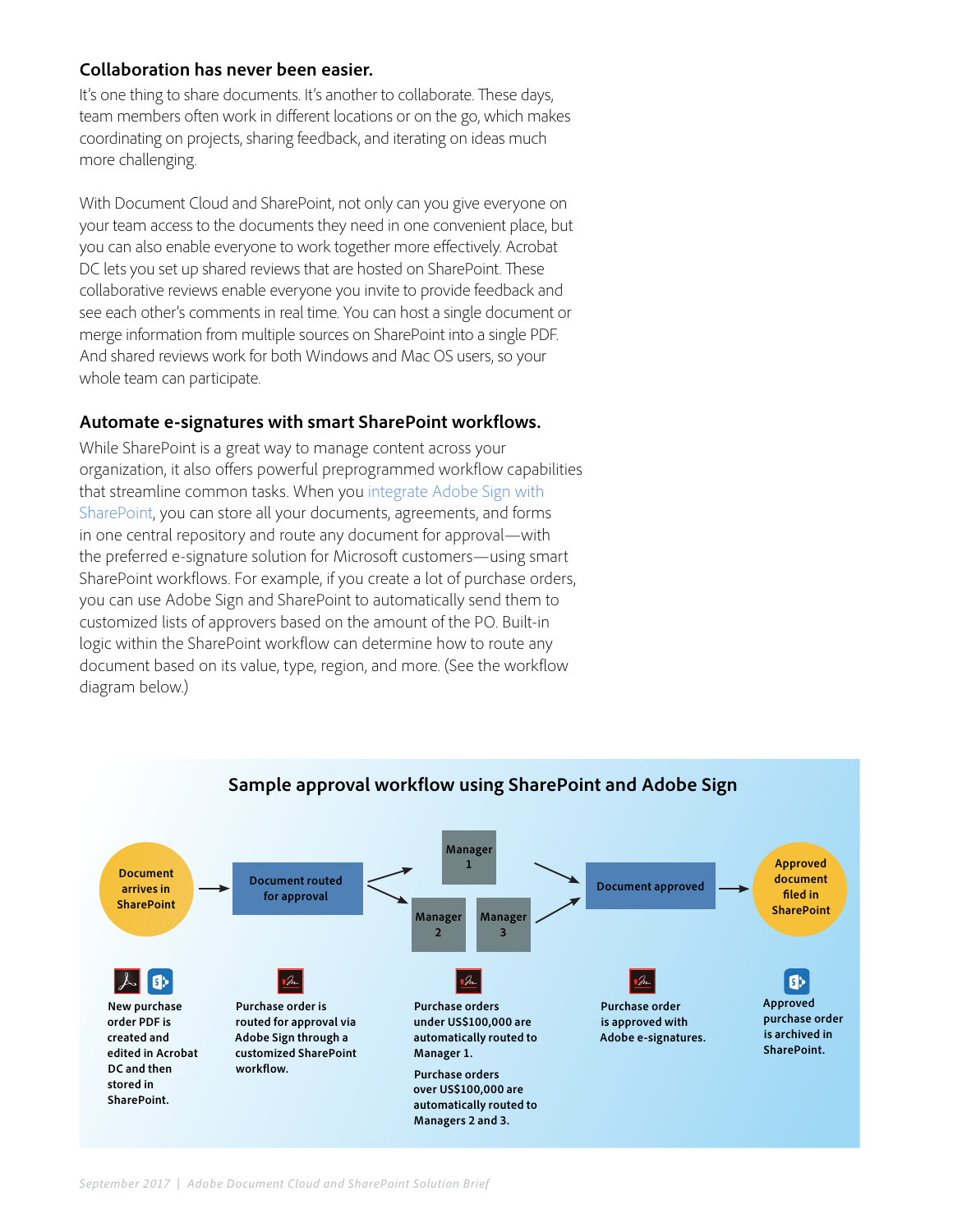### **Collaboration has never been easier.**

It's one thing to share documents. It's another to collaborate. These days, team members often work in different locations or on the go, which makes coordinating on projects, sharing feedback, and iterating on ideas much more challenging.

With Document Cloud and SharePoint, not only can you give everyone on your team access to the documents they need in one convenient place, but you can also enable everyone to work together more effectively. Acrobat DC lets you set up shared reviews that are hosted on SharePoint. These collaborative reviews enable everyone you invite to provide feedback and see each other's comments in real time. You can host a single document or merge information from multiple sources on SharePoint into a single PDF. And shared reviews work for both Windows and Mac OS users, so your whole team can participate.

### **Automate e-signatures with smart SharePoint workflows.**

While SharePoint is a great way to manage content across your organization, it also offers powerful preprogrammed workflow capabilities that streamline common tasks. When you [integrate Adobe Sign with](https://acrobat.adobe.com/us/en/why-adobe/integrations/microsoft-sharepoint.html)  [SharePoint](https://acrobat.adobe.com/us/en/why-adobe/integrations/microsoft-sharepoint.html), you can store all your documents, agreements, and forms in one central repository and route any document for approval—with the preferred e-signature solution for Microsoft customers—using smart SharePoint workflows. For example, if you create a lot of purchase orders, you can use Adobe Sign and SharePoint to automatically send them to customized lists of approvers based on the amount of the PO. Built-in logic within the SharePoint workflow can determine how to route any document based on its value, type, region, and more. (See the workflow diagram below.)



### **Sample approval workflow using SharePoint and Adobe Sign**